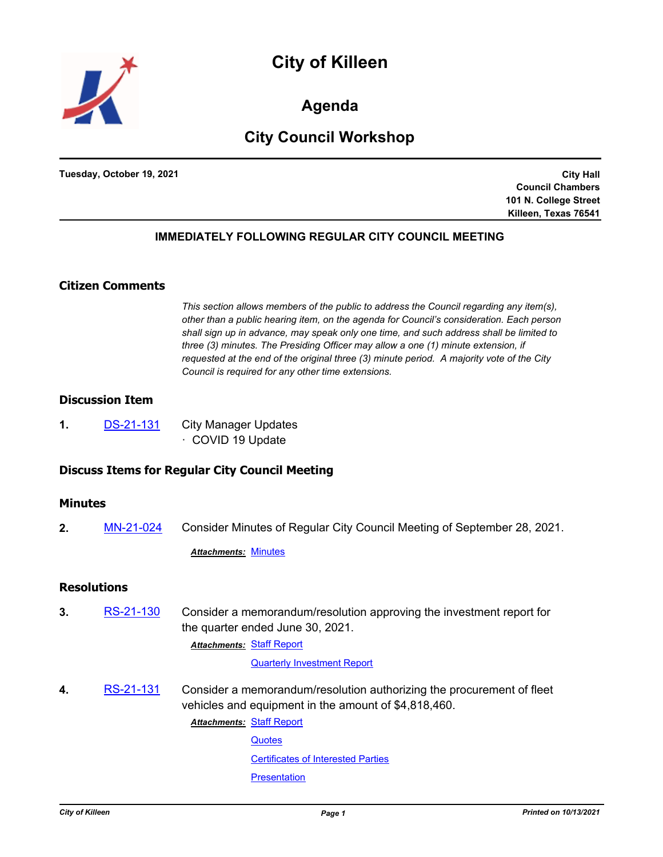



**Agenda**

# **City Council Workshop**

**Tuesday, October 19, 2021**

**City Hall Council Chambers 101 N. College Street Killeen, Texas 76541**

## **IMMEDIATELY FOLLOWING REGULAR CITY COUNCIL MEETING**

# **Citizen Comments**

*This section allows members of the public to address the Council regarding any item(s), other than a public hearing item, on the agenda for Council's consideration. Each person shall sign up in advance, may speak only one time, and such address shall be limited to three (3) minutes. The Presiding Officer may allow a one (1) minute extension, if requested at the end of the original three (3) minute period. A majority vote of the City Council is required for any other time extensions.*

# **Discussion Item**

**1.** [DS-21-131](http://killeen.legistar.com/gateway.aspx?m=l&id=/matter.aspx?key=5743) City Manager Updates · COVID 19 Update

# **Discuss Items for Regular City Council Meeting**

#### **Minutes**

**2.** [MN-21-024](http://killeen.legistar.com/gateway.aspx?m=l&id=/matter.aspx?key=5742) Consider Minutes of Regular City Council Meeting of September 28, 2021.

*Attachments:* [Minutes](http://killeen.legistar.com/gateway.aspx?M=F&ID=aa0f3b06-9889-490e-8aac-d0abc1e35c3e.pdf)

#### **Resolutions**

**3.** [RS-21-130](http://killeen.legistar.com/gateway.aspx?m=l&id=/matter.aspx?key=5722) Consider a memorandum/resolution approving the investment report for the quarter ended June 30, 2021.

**Attachments: [Staff Report](http://killeen.legistar.com/gateway.aspx?M=F&ID=cb08f1f8-ce89-4551-8d15-68b94212796d.pdf)** 

[Quarterly Investment Report](http://killeen.legistar.com/gateway.aspx?M=F&ID=3a9a0740-587d-4d6b-8728-738fa6c8e9fd.pdf)

**4.** [RS-21-131](http://killeen.legistar.com/gateway.aspx?m=l&id=/matter.aspx?key=5737) Consider a memorandum/resolution authorizing the procurement of fleet vehicles and equipment in the amount of \$4,818,460.

[Staff Report](http://killeen.legistar.com/gateway.aspx?M=F&ID=4a310cc7-13ac-491d-9bf1-4bb3aa563eaa.pdf) *Attachments:*

**[Quotes](http://killeen.legistar.com/gateway.aspx?M=F&ID=90159ea5-764a-4392-8360-81ecb163562d.pdf)** 

[Certificates of Interested Parties](http://killeen.legistar.com/gateway.aspx?M=F&ID=5fb61148-15d4-44cb-989e-0292163e6a00.pdf)

**[Presentation](http://killeen.legistar.com/gateway.aspx?M=F&ID=3c7dcbda-444e-45d2-964a-63b62dc5971b.pdf)**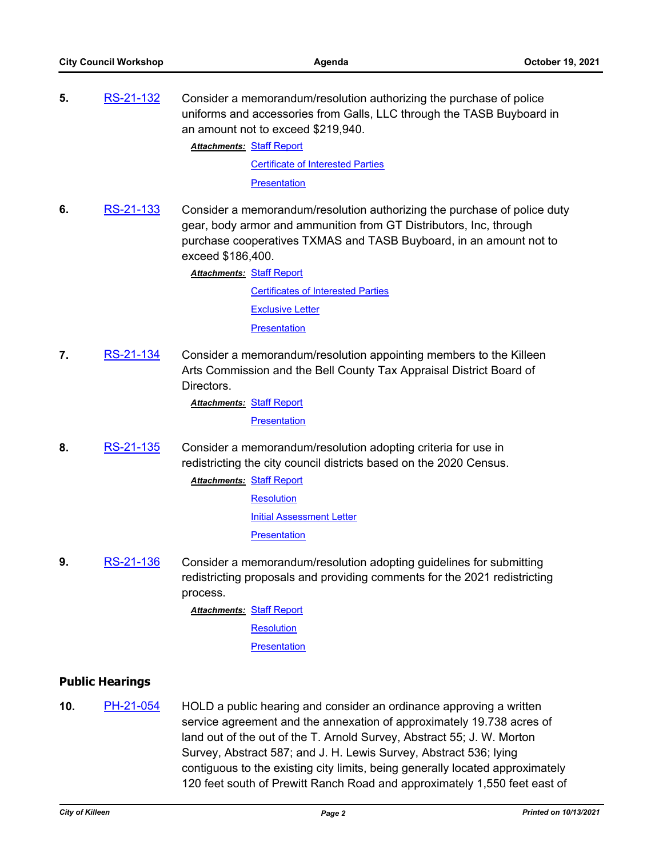**5.** [RS-21-132](http://killeen.legistar.com/gateway.aspx?m=l&id=/matter.aspx?key=5723) Consider a memorandum/resolution authorizing the purchase of police uniforms and accessories from Galls, LLC through the TASB Buyboard in an amount not to exceed \$219,940.

**Attachments: [Staff Report](http://killeen.legistar.com/gateway.aspx?M=F&ID=9ffd2e62-db67-4f74-9c13-ad00da557269.pdf)** 

[Certificate of Interested Parties](http://killeen.legistar.com/gateway.aspx?M=F&ID=51299aac-c844-4f49-a44c-455ba473d241.pdf)

**[Presentation](http://killeen.legistar.com/gateway.aspx?M=F&ID=3c3ccbc3-3e02-479c-9bda-a8cf1d779787.pdf)** 

**6.** [RS-21-133](http://killeen.legistar.com/gateway.aspx?m=l&id=/matter.aspx?key=5724) Consider a memorandum/resolution authorizing the purchase of police duty gear, body armor and ammunition from GT Distributors, Inc, through purchase cooperatives TXMAS and TASB Buyboard, in an amount not to exceed \$186,400.

**Attachments: [Staff Report](http://killeen.legistar.com/gateway.aspx?M=F&ID=194e5276-65ec-4255-a7f6-639facdd1061.pdf)** 

[Certificates of Interested Parties](http://killeen.legistar.com/gateway.aspx?M=F&ID=11280bd2-c323-42d0-8a1d-0243a339e4b6.pdf) [Exclusive Letter](http://killeen.legistar.com/gateway.aspx?M=F&ID=60b1533b-8793-4210-8842-9ca26795ec0e.pdf) **[Presentation](http://killeen.legistar.com/gateway.aspx?M=F&ID=88d2be92-7cb5-4230-ac04-4822ee8c94bc.pdf)** 

**7.** [RS-21-134](http://killeen.legistar.com/gateway.aspx?m=l&id=/matter.aspx?key=5752) Consider a memorandum/resolution appointing members to the Killeen Arts Commission and the Bell County Tax Appraisal District Board of Directors.

[Staff Report](http://killeen.legistar.com/gateway.aspx?M=F&ID=6530ec32-da9c-4bd1-9343-12cbb6ad8937.pdf) *Attachments:*

**[Presentation](http://killeen.legistar.com/gateway.aspx?M=F&ID=048446bd-ad6d-461c-b206-2faf3c334618.pdf)** 

- **8.** [RS-21-135](http://killeen.legistar.com/gateway.aspx?m=l&id=/matter.aspx?key=5753) Consider a memorandum/resolution adopting criteria for use in redistricting the city council districts based on the 2020 Census.
	- **Attachments: [Staff Report](http://killeen.legistar.com/gateway.aspx?M=F&ID=ac292557-b638-4c0d-971d-928cc022cb8a.pdf) [Resolution](http://killeen.legistar.com/gateway.aspx?M=F&ID=b26fa46e-fb02-4df9-a98c-b4b61df02a89.pdf)** [Initial Assessment Letter](http://killeen.legistar.com/gateway.aspx?M=F&ID=7dfa7014-1683-4fa6-8b14-a73cc6746e7f.pdf) **[Presentation](http://killeen.legistar.com/gateway.aspx?M=F&ID=0a285437-2462-457b-ac7d-7ee55b680d5a.pdf)**
- **9.** [RS-21-136](http://killeen.legistar.com/gateway.aspx?m=l&id=/matter.aspx?key=5754) Consider a memorandum/resolution adopting guidelines for submitting redistricting proposals and providing comments for the 2021 redistricting process.
	- **Attachments: [Staff Report](http://killeen.legistar.com/gateway.aspx?M=F&ID=84303813-4a7f-41c8-b9c4-0d67eeb429bd.pdf)** 
		- **[Resolution](http://killeen.legistar.com/gateway.aspx?M=F&ID=670842d2-df25-482a-9900-85f295a9421b.pdf)**

**[Presentation](http://killeen.legistar.com/gateway.aspx?M=F&ID=bb1957ae-bd7a-4cc8-8854-251f0ed8e63f.pdf)** 

# **Public Hearings**

**10.** [PH-21-054](http://killeen.legistar.com/gateway.aspx?m=l&id=/matter.aspx?key=5645) HOLD a public hearing and consider an ordinance approving a written service agreement and the annexation of approximately 19.738 acres of land out of the out of the T. Arnold Survey, Abstract 55; J. W. Morton Survey, Abstract 587; and J. H. Lewis Survey, Abstract 536; lying contiguous to the existing city limits, being generally located approximately 120 feet south of Prewitt Ranch Road and approximately 1,550 feet east of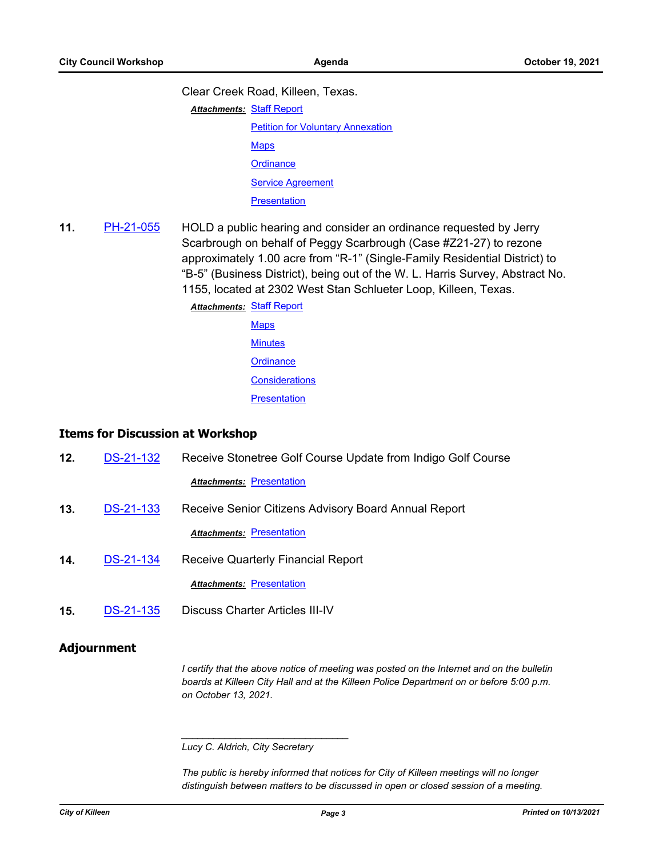Clear Creek Road, Killeen, Texas.

**Attachments: [Staff Report](http://killeen.legistar.com/gateway.aspx?M=F&ID=bc912101-9d24-4e0c-8715-934387ebba48.pdf)** 

**[Petition for Voluntary Annexation](http://killeen.legistar.com/gateway.aspx?M=F&ID=445dea3c-eca6-4e2b-b5a4-852f6e0a7743.pdf) [Maps](http://killeen.legistar.com/gateway.aspx?M=F&ID=1be88d3f-fedc-48db-a604-0c171162adac.pdf)** 

**[Ordinance](http://killeen.legistar.com/gateway.aspx?M=F&ID=edf10a43-76d6-4fd0-99cd-a6f6eabf6c03.pdf)** 

[Service Agreement](http://killeen.legistar.com/gateway.aspx?M=F&ID=ae038d13-8e18-44aa-b9da-199503b5c81b.pdf)

**[Presentation](http://killeen.legistar.com/gateway.aspx?M=F&ID=62882338-70ce-42ed-a865-02cc879598ec.pdf)** 

**11.** [PH-21-055](http://killeen.legistar.com/gateway.aspx?m=l&id=/matter.aspx?key=5729) HOLD a public hearing and consider an ordinance requested by Jerry Scarbrough on behalf of Peggy Scarbrough (Case #Z21-27) to rezone approximately 1.00 acre from "R-1" (Single-Family Residential District) to "B-5" (Business District), being out of the W. L. Harris Survey, Abstract No. 1155, located at 2302 West Stan Schlueter Loop, Killeen, Texas.

> **Attachments: [Staff Report](http://killeen.legistar.com/gateway.aspx?M=F&ID=156490c5-cac1-4408-972f-174109ea48c4.pdf)** [Maps](http://killeen.legistar.com/gateway.aspx?M=F&ID=6809be9a-d679-4e8b-a362-d4828e128634.pdf) **[Minutes](http://killeen.legistar.com/gateway.aspx?M=F&ID=c78e4b0a-75af-476f-8a5a-11bda29e9533.pdf)**

> > **[Ordinance](http://killeen.legistar.com/gateway.aspx?M=F&ID=f00ce907-8521-43d2-8b35-016da54354c3.pdf)**

**[Considerations](http://killeen.legistar.com/gateway.aspx?M=F&ID=73558842-26be-48d1-b948-3925fe63e367.pdf)** 

**[Presentation](http://killeen.legistar.com/gateway.aspx?M=F&ID=b4660943-80f8-44e1-a7a1-e757f325d348.pdf)** 

## **Items for Discussion at Workshop**

| 12. | <b>DS-21-132</b> | Receive Stonetree Golf Course Update from Indigo Golf Course |
|-----|------------------|--------------------------------------------------------------|
|     |                  | <b>Attachments: Presentation</b>                             |
| 13. | DS-21-133        | Receive Senior Citizens Advisory Board Annual Report         |
|     |                  | <b>Attachments: Presentation</b>                             |
| 14. | <b>DS-21-134</b> | Receive Quarterly Financial Report                           |
|     |                  | <b>Attachments: Presentation</b>                             |
| 15. | <b>DS-21-135</b> | Discuss Charter Articles III-IV                              |

## **Adjournment**

*I* certify that the above notice of meeting was posted on the Internet and on the bulletin *boards at Killeen City Hall and at the Killeen Police Department on or before 5:00 p.m. on October 13, 2021.*

*\_\_\_\_\_\_\_\_\_\_\_\_\_\_\_\_\_\_\_\_\_\_\_\_\_\_\_\_\_\_\_*

*The public is hereby informed that notices for City of Killeen meetings will no longer distinguish between matters to be discussed in open or closed session of a meeting.* 

*Lucy C. Aldrich, City Secretary*